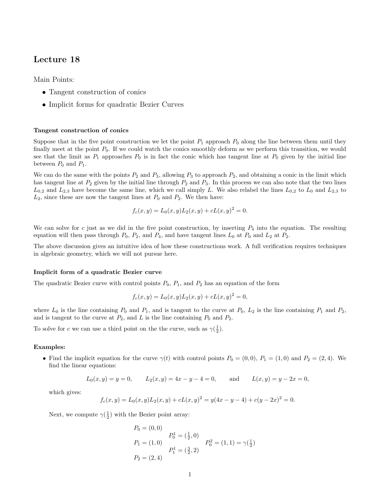## Lecture 18

Main Points:

- Tangent construction of conics
- Implicit forms for quadratic Bezier Curves

## Tangent construction of conics

Suppose that in the five point construction we let the point  $P_1$  approach  $P_0$  along the line between them until they finally meet at the point  $P_0$ . If we could watch the conics smoothly deform as we perform this transition, we would see that the limit as  $P_1$  approaches  $P_0$  is in fact the conic which has tangent line at  $P_0$  given by the initial line between  $P_0$  and  $P_1$ .

We can do the same with the points  $P_2$  and  $P_3$ , allowing  $P_3$  to approach  $P_2$ , and obtaining a conic in the limit which has tangent line at  $P_2$  given by the initial line through  $P_2$  and  $P_3$ . In this process we can also note that the two lines  $L_{0,2}$  and  $L_{2,3}$  have become the same line, which we call simply L. We also relabel the lines  $L_{0,2}$  to  $L_0$  and  $L_{2,3}$  to  $L_2$ , since these are now the tangent lines at  $P_0$  and  $P_2$ . We then have:

$$
f_c(x, y) = L_0(x, y)L_2(x, y) + cL(x, y)^2 = 0.
$$

We can solve for c just as we did in the five point construction, by inserting  $P_4$  into the equation. The resulting equation will then pass through  $P_0$ ,  $P_2$ , and  $P_4$ , and have tangent lines  $L_0$  at  $P_0$  and  $L_2$  at  $P_2$ .

The above discussion gives an intuitive idea of how these constructions work. A full verification requires techniques in algebraic geometry, which we will not pursue here.

## Implicit form of a quadratic Bezier curve

The quadratic Bezier curve with control points  $P_0$ ,  $P_1$ , and  $P_2$  has an equation of the form

$$
f_c(x, y) = L_0(x, y)L_2(x, y) + cL(x, y)^2 = 0,
$$

where  $L_0$  is the line containing  $P_0$  and  $P_1$ , and is tangent to the curve at  $P_0$ ,  $L_2$  is the line containing  $P_1$  and  $P_2$ , and is tangent to the curve at  $P_2$ , and L is the line containing  $P_0$  and  $P_2$ .

To solve for c we can use a third point on the the curve, such as  $\gamma(\frac{1}{2})$ .

## Examples:

• Find the implicit equation for the curve  $\gamma(t)$  with control points  $P_0 = (0,0), P_1 = (1,0)$  and  $P_2 = (2,4)$ . We find the linear equations:

$$
L_0(x, y) = y = 0,
$$
  $L_2(x, y) = 4x - y - 4 = 0,$  and  $L(x, y) = y - 2x = 0,$ 

which gives:

$$
f_c(x,y) = L_0(x,y)L_2(x,y) + cL(x,y)^2 = y(4x - y - 4) + c(y - 2x)^2 = 0.
$$

Next, we compute  $\gamma(\frac{1}{2})$  with the Bezier point array:

$$
P_0 = (0, 0)
$$
  
\n
$$
P_1 = (1, 0)
$$
  
\n
$$
P_2 = (2, 4)
$$
  
\n
$$
P_3 = (\frac{3}{2}, 2)
$$
  
\n
$$
P_4 = (\frac{3}{2}, 2)
$$
  
\n
$$
P_5 = (1, 1) = \gamma(\frac{1}{2})
$$
  
\n
$$
P_6 = (1, 1) = \gamma(\frac{1}{2})
$$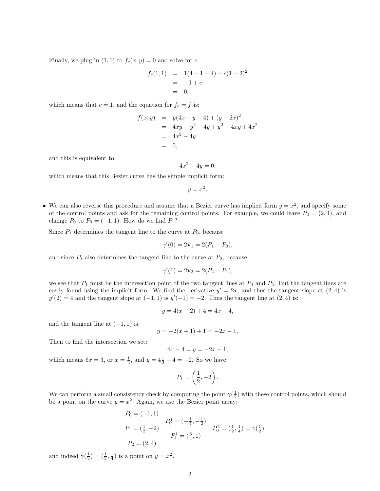Finally, we plug in  $(1, 1)$  to  $f_c(x, y) = 0$  and solve for c:

$$
f_c(1,1) = 1(4-1-4) + c(1-2)^2
$$
  
= -1 + c  
= 0,

which means that  $c = 1$ , and the equation for  $f_c = f$  is:

$$
f(x, y) = y(4x - y - 4) + (y - 2x)^2
$$
  
= 4xy - y<sup>2</sup> - 4y + y<sup>2</sup> - 4xy + 4x<sup>2</sup>  
= 4x<sup>2</sup> - 4y  
= 0,

and this is equivalent to:

$$
4x^2 - 4y = 0,
$$

which means that this Bezier curve has the simple implicit form:

$$
y = x^2.
$$

• We can also reverse this procedure and assume that a Bezier curve has implicit form  $y = x^2$ , and specify some of the control points and ask for the remaining control points. For example, we could leave  $P_2 = (2, 4)$ , and change  $P_0$  to  $P_0 = (-1, 1)$ . How do we find  $P_1$ ?

Since  $P_1$  determines the tangent line to the curve at  $P_0$ , because

$$
\gamma'(0) = 2\mathbf{v}_1 = 2(P_1 - P_0),
$$

and since  $P_1$  also determines the tangent line to the curve at  $P_2$ , because

$$
\gamma'(1) = 2\mathbf{v}_2 = 2(P_2 - P_1),
$$

we see that  $P_1$  must be the intersection point of the two tangent lines at  $P_0$  and  $P_2$ . But the tangent lines are easily found using the implicit form. We find the derivative  $y' = 2x$ , and thus the tangent slope at  $(2, 4)$  is  $y'(2) = 4$  and the tangent slope at  $(-1, 1)$  is  $y'(-1) = -2$ . Thus the tangent line at  $(2, 4)$  is:

$$
y = 4(x - 2) + 4 = 4x - 4,
$$

and the tangent line at  $(-1, 1)$  is:

$$
y = -2(x+1) + 1 = -2x - 1.
$$

Then to find the intersection we set:

$$
4x - 4 = y = -2x - 1,
$$

which means  $6x = 3$ , or  $x = \frac{1}{2}$ , and  $y = 4\frac{1}{2} - 4 = -2$ . So we have:

$$
P_1 = \left(\frac{1}{2}, -2\right).
$$

We can perform a small consistency check by computing the point  $\gamma(\frac{1}{2})$  with these control points, which should be a point on the curve  $y = x^2$ . Again, we use the Bezier point array:

$$
P_0 = (-1, 1)
$$
  
\n
$$
P_1 = (\frac{1}{2}, -2)
$$
  
\n
$$
P_1 = (\frac{5}{4}, -2)
$$
  
\n
$$
P_1 = (\frac{5}{4}, 1)
$$
  
\n
$$
P_2 = (2, 4)
$$
  
\n
$$
P_3 = (\frac{5}{4}, 1)
$$
  
\n
$$
P_4 = (\frac{5}{4}, 1)
$$
  
\n
$$
P_5 = (\frac{1}{2}, \frac{1}{4}) = \gamma(\frac{1}{2})
$$

and indeed  $\gamma(\frac{1}{2}) = (\frac{1}{2}, \frac{1}{4})$  is a point on  $y = x^2$ .